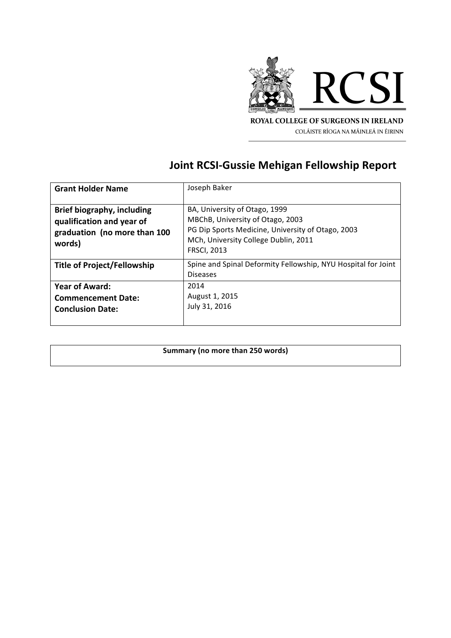

ROYAL COLLEGE OF SURGEONS IN IRELAND COLÁISTE RÍOGA NA MÁINLEÁ IN ÉIRINN

## **Joint RCSI-Gussie Mehigan Fellowship Report**

| <b>Grant Holder Name</b>          | Joseph Baker                                                  |
|-----------------------------------|---------------------------------------------------------------|
|                                   |                                                               |
| <b>Brief biography, including</b> | BA, University of Otago, 1999                                 |
| qualification and year of         | MBChB, University of Otago, 2003                              |
| graduation (no more than 100      | PG Dip Sports Medicine, University of Otago, 2003             |
| words)                            | MCh, University College Dublin, 2011                          |
|                                   | <b>FRSCI, 2013</b>                                            |
| Title of Project/Fellowship       | Spine and Spinal Deformity Fellowship, NYU Hospital for Joint |
|                                   | <b>Diseases</b>                                               |
| <b>Year of Award:</b>             | 2014                                                          |
| <b>Commencement Date:</b>         | August 1, 2015                                                |
| <b>Conclusion Date:</b>           | July 31, 2016                                                 |
|                                   |                                                               |

## **Summary (no more than 250 words)**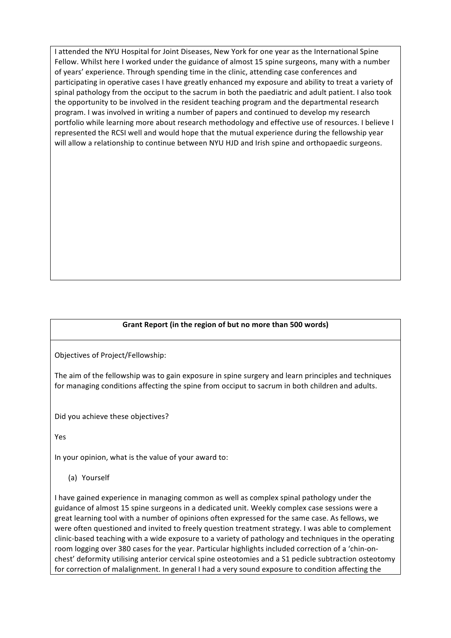I attended the NYU Hospital for Joint Diseases, New York for one year as the International Spine Fellow. Whilst here I worked under the guidance of almost 15 spine surgeons, many with a number of years' experience. Through spending time in the clinic, attending case conferences and participating in operative cases I have greatly enhanced my exposure and ability to treat a variety of spinal pathology from the occiput to the sacrum in both the paediatric and adult patient. I also took the opportunity to be involved in the resident teaching program and the departmental research program. I was involved in writing a number of papers and continued to develop my research portfolio while learning more about research methodology and effective use of resources. I believe I represented the RCSI well and would hope that the mutual experience during the fellowship year will allow a relationship to continue between NYU HJD and Irish spine and orthopaedic surgeons.

## Grant Report (in the region of but no more than 500 words)

Objectives of Project/Fellowship:

The aim of the fellowship was to gain exposure in spine surgery and learn principles and techniques for managing conditions affecting the spine from occiput to sacrum in both children and adults.

Did you achieve these objectives?

Yes

In your opinion, what is the value of your award to:

(a) Yourself

I have gained experience in managing common as well as complex spinal pathology under the guidance of almost 15 spine surgeons in a dedicated unit. Weekly complex case sessions were a great learning tool with a number of opinions often expressed for the same case. As fellows, we were often questioned and invited to freely question treatment strategy. I was able to complement clinic-based teaching with a wide exposure to a variety of pathology and techniques in the operating room logging over 380 cases for the year. Particular highlights included correction of a 'chin-onchest' deformity utilising anterior cervical spine osteotomies and a S1 pedicle subtraction osteotomy for correction of malalignment. In general I had a very sound exposure to condition affecting the